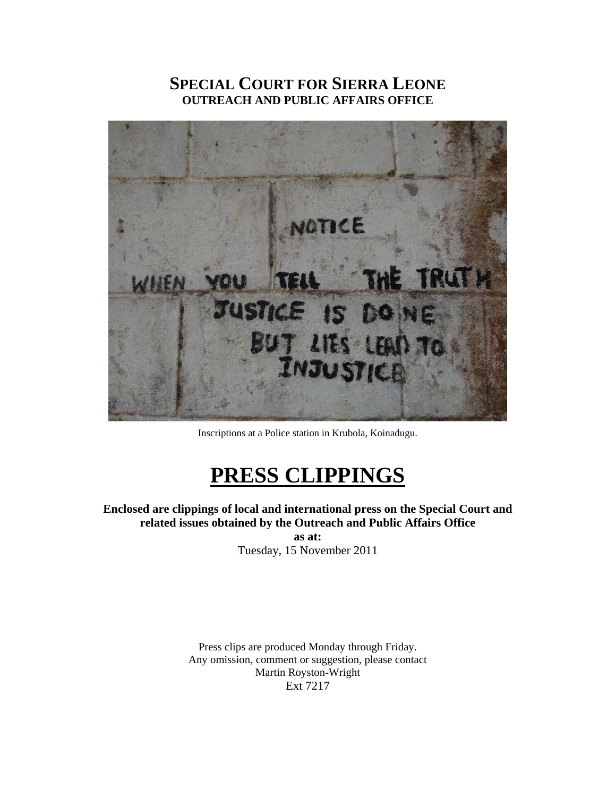## **SPECIAL COURT FOR SIERRA LEONE OUTREACH AND PUBLIC AFFAIRS OFFICE**



Inscriptions at a Police station in Krubola, Koinadugu.

# **PRESS CLIPPINGS**

**Enclosed are clippings of local and international press on the Special Court and related issues obtained by the Outreach and Public Affairs Office as at:** 

Tuesday, 15 November 2011

Press clips are produced Monday through Friday. Any omission, comment or suggestion, please contact Martin Royston-Wright Ext 7217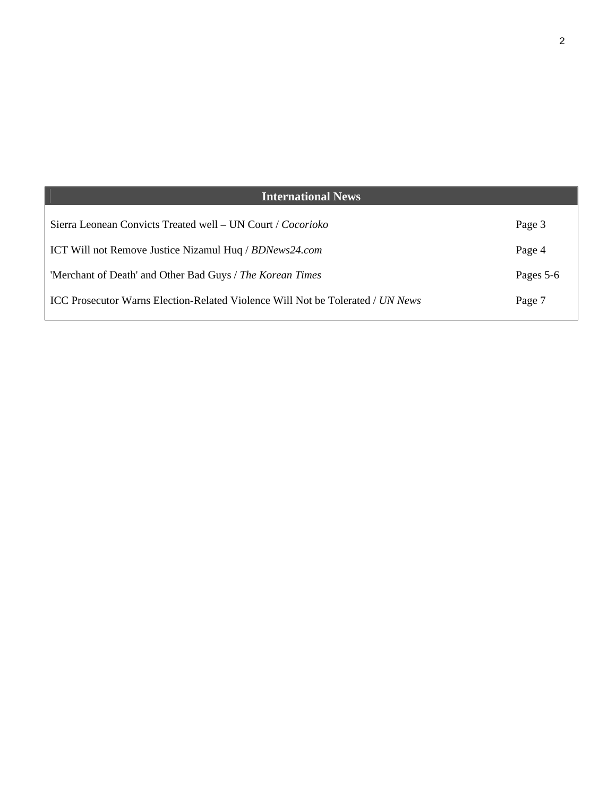| <b>International News</b>                                                             |           |
|---------------------------------------------------------------------------------------|-----------|
| Sierra Leonean Convicts Treated well – UN Court / Cocorioko                           | Page 3    |
| ICT Will not Remove Justice Nizamul Huq / BDNews24.com                                | Page 4    |
| 'Merchant of Death' and Other Bad Guys / The Korean Times                             | Pages 5-6 |
| <b>ICC Prosecutor Warns Election-Related Violence Will Not be Tolerated / UN News</b> | Page 7    |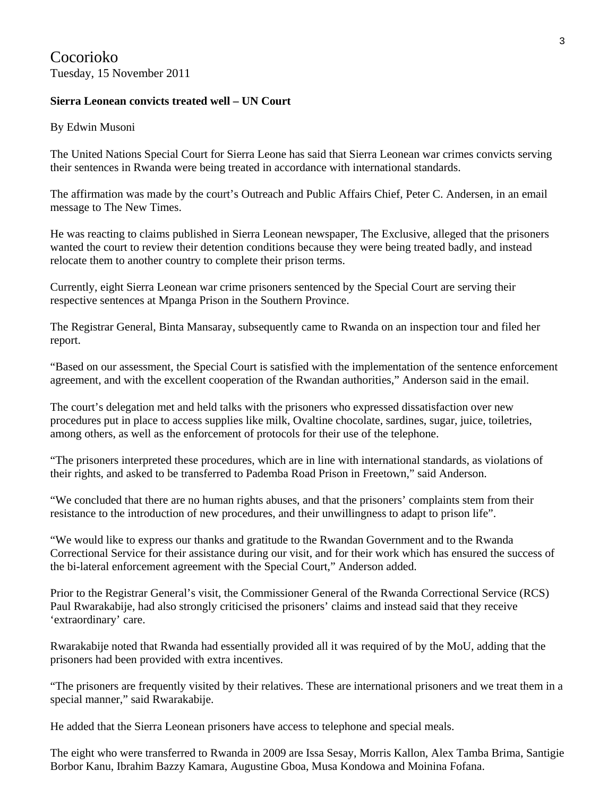Cocorioko Tuesday, 15 November 2011

### **Sierra Leonean convicts treated well – UN Court**

#### By Edwin Musoni

The United Nations Special Court for Sierra Leone has said that Sierra Leonean war crimes convicts serving their sentences in Rwanda were being treated in accordance with international standards.

The affirmation was made by the court's Outreach and Public Affairs Chief, Peter C. Andersen, in an email message to The New Times.

He was reacting to claims published in Sierra Leonean newspaper, The Exclusive, alleged that the prisoners wanted the court to review their detention conditions because they were being treated badly, and instead relocate them to another country to complete their prison terms.

Currently, eight Sierra Leonean war crime prisoners sentenced by the Special Court are serving their respective sentences at Mpanga Prison in the Southern Province.

The Registrar General, Binta Mansaray, subsequently came to Rwanda on an inspection tour and filed her report.

"Based on our assessment, the Special Court is satisfied with the implementation of the sentence enforcement agreement, and with the excellent cooperation of the Rwandan authorities," Anderson said in the email.

The court's delegation met and held talks with the prisoners who expressed dissatisfaction over new procedures put in place to access supplies like milk, Ovaltine chocolate, sardines, sugar, juice, toiletries, among others, as well as the enforcement of protocols for their use of the telephone.

"The prisoners interpreted these procedures, which are in line with international standards, as violations of their rights, and asked to be transferred to Pademba Road Prison in Freetown," said Anderson.

"We concluded that there are no human rights abuses, and that the prisoners' complaints stem from their resistance to the introduction of new procedures, and their unwillingness to adapt to prison life".

"We would like to express our thanks and gratitude to the Rwandan Government and to the Rwanda Correctional Service for their assistance during our visit, and for their work which has ensured the success of the bi-lateral enforcement agreement with the Special Court," Anderson added.

Prior to the Registrar General's visit, the Commissioner General of the Rwanda Correctional Service (RCS) Paul Rwarakabije, had also strongly criticised the prisoners' claims and instead said that they receive 'extraordinary' care.

Rwarakabije noted that Rwanda had essentially provided all it was required of by the MoU, adding that the prisoners had been provided with extra incentives.

"The prisoners are frequently visited by their relatives. These are international prisoners and we treat them in a special manner," said Rwarakabije.

He added that the Sierra Leonean prisoners have access to telephone and special meals.

The eight who were transferred to Rwanda in 2009 are Issa Sesay, Morris Kallon, Alex Tamba Brima, Santigie Borbor Kanu, Ibrahim Bazzy Kamara, Augustine Gboa, Musa Kondowa and Moinina Fofana.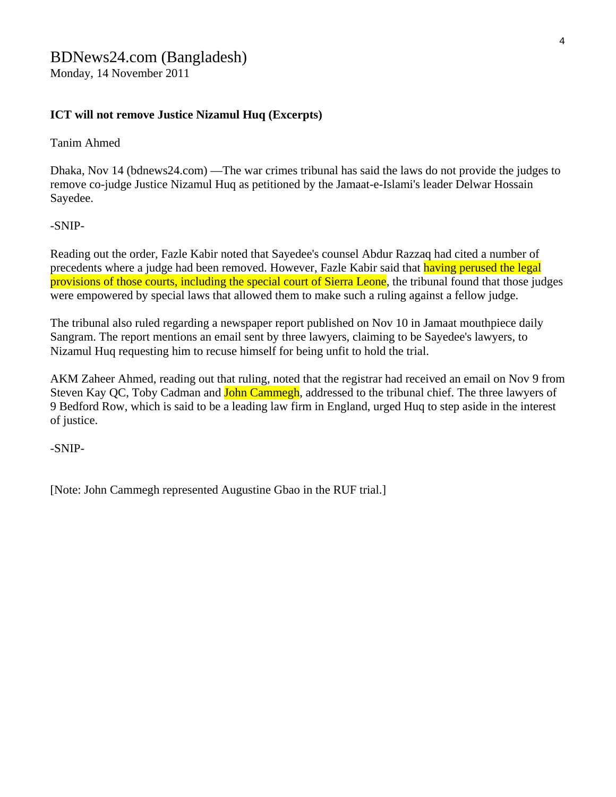### BDNews24.com (Bangladesh)

Monday, 14 November 2011

### **ICT will not remove Justice Nizamul Huq (Excerpts)**

Tanim Ahmed

Dhaka, Nov 14 (bdnews24.com) —The war crimes tribunal has said the laws do not provide the judges to remove co-judge Justice Nizamul Huq as petitioned by the Jamaat-e-Islami's leader Delwar Hossain Sayedee.

#### -SNIP-

Reading out the order, Fazle Kabir noted that Sayedee's counsel Abdur Razzaq had cited a number of precedents where a judge had been removed. However, Fazle Kabir said that having perused the legal provisions of those courts, including the special court of Sierra Leone, the tribunal found that those judges were empowered by special laws that allowed them to make such a ruling against a fellow judge.

The tribunal also ruled regarding a newspaper report published on Nov 10 in Jamaat mouthpiece daily Sangram. The report mentions an email sent by three lawyers, claiming to be Sayedee's lawyers, to Nizamul Huq requesting him to recuse himself for being unfit to hold the trial.

AKM Zaheer Ahmed, reading out that ruling, noted that the registrar had received an email on Nov 9 from Steven Kay QC, Toby Cadman and **John Cammegh**, addressed to the tribunal chief. The three lawyers of 9 Bedford Row, which is said to be a leading law firm in England, urged Huq to step aside in the interest of justice.

-SNIP-

[Note: John Cammegh represented Augustine Gbao in the RUF trial.]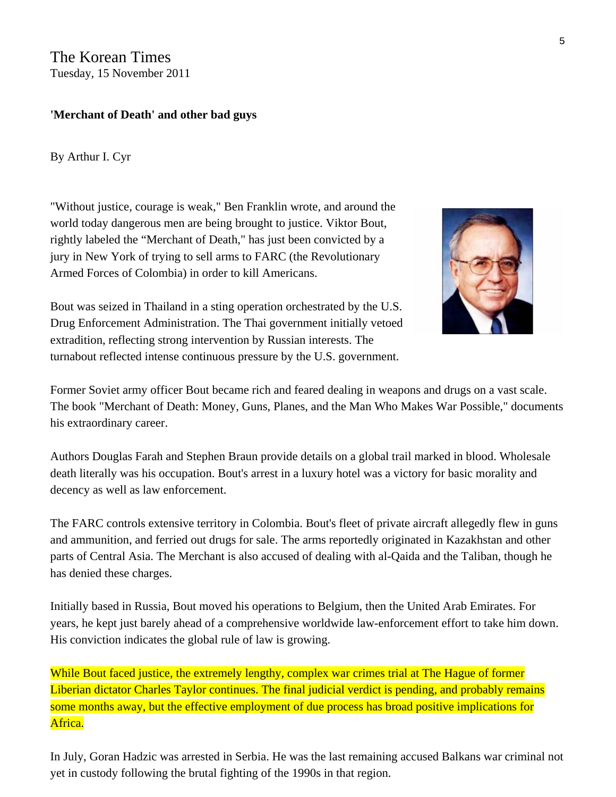The Korean Times Tuesday, 15 November 2011

### **'Merchant of Death' and other bad guys**

By Arthur I. Cyr

"Without justice, courage is weak," Ben Franklin wrote, and around the world today dangerous men are being brought to justice. Viktor Bout, rightly labeled the "Merchant of Death," has just been convicted by a jury in New York of trying to sell arms to FARC (the Revolutionary Armed Forces of Colombia) in order to kill Americans.



Bout was seized in Thailand in a sting operation orchestrated by the U.S. Drug Enforcement Administration. The Thai government initially v etoed extradition, reflecting strong intervention by Russian interests. The turnabout reflected intense continuous pressure by the U.S. government.

Former Soviet army officer Bout became rich and feared dealing in weapons and drugs on a vast scale. The book "Merchant of Death: Money, Guns, Planes, and the Man Who Makes War Possible," documents his extraordinary career.

Authors Douglas Farah and Stephen Braun provide details on a global trail marked in blood. Wholesale death literally was his occupation. Bout's arrest in a luxury hotel was a victory for basic morality and decency as well as law enforcement.

The FARC controls extensive territory in Colombia. Bout's fleet of private aircraft allegedly flew in guns and ammunition, and ferried out drugs for sale. The arms reportedly originated in Kazakhstan and other parts of Central Asia. The Merchant is also accused of dealing with al-Qaida and the Taliban, though he has denied these charges.

Initially based in Russia, Bout moved his operations to Belgium, then the United Arab Emirates. For years, he kept just barely ahead of a comprehensive worldwide law-enforcement effort to take him down. His conviction indicates the global rule of law is growing.

While Bout faced justice, the extremely lengthy, complex war crimes trial at The Hague of former Liberian dictator Charles Taylor continues. The final judicial verdict is pending, and probably remains some months away, but the effective employment of due process has broad positive implications for Africa.

In July, Goran Hadzic was arrested in Serbia. He was the last remaining accused Balkans war criminal not yet in custody following the brutal fighting of the 1990s in that region.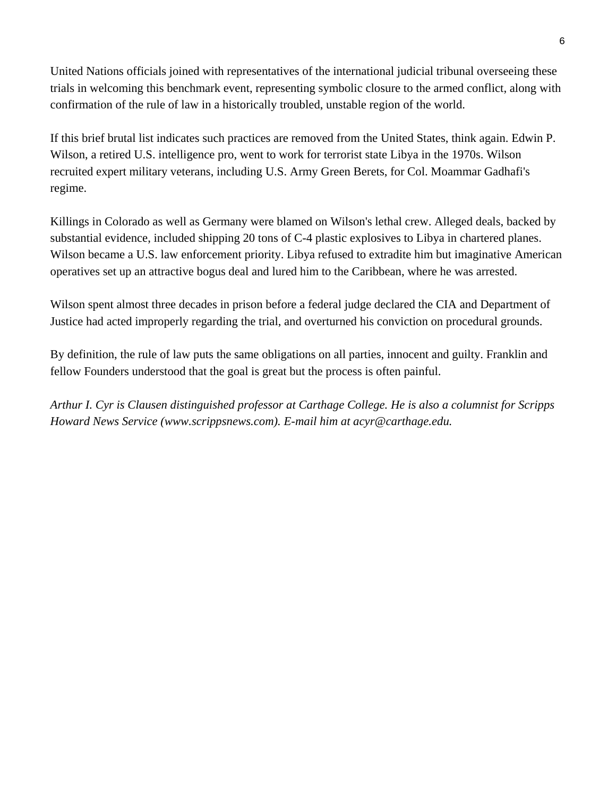United Nations officials joined with representatives of the international judicial tribunal overseeing these trials in welcoming this benchmark event, representing symbolic closure to the armed conflict, along with confirmation of the rule of law in a historically troubled, unstable region of the world.

If this brief brutal list indicates such practices are removed from the United States, think again. Edwin P. Wilson, a retired U.S. intelligence pro, went to work for terrorist state Libya in the 1970s. Wilson recruited expert military veterans, including U.S. Army Green Berets, for Col. Moammar Gadhafi's regime.

Killings in Colorado as well as Germany were blamed on Wilson's lethal crew. Alleged deals, backed by substantial evidence, included shipping 20 tons of C-4 plastic explosives to Libya in chartered planes. Wilson became a U.S. law enforcement priority. Libya refused to extradite him but imaginative American operatives set up an attractive bogus deal and lured him to the Caribbean, where he was arrested.

Wilson spent almost three decades in prison before a federal judge declared the CIA and Department of Justice had acted improperly regarding the trial, and overturned his conviction on procedural grounds.

By definition, the rule of law puts the same obligations on all parties, innocent and guilty. Franklin and fellow Founders understood that the goal is great but the process is often painful.

*Arthur I. Cyr is Clausen distinguished professor at Carthage College. He is also a columnist for Scripps Howard News Service (www.scrippsnews.com). E-mail him at acyr@carthage.edu.*